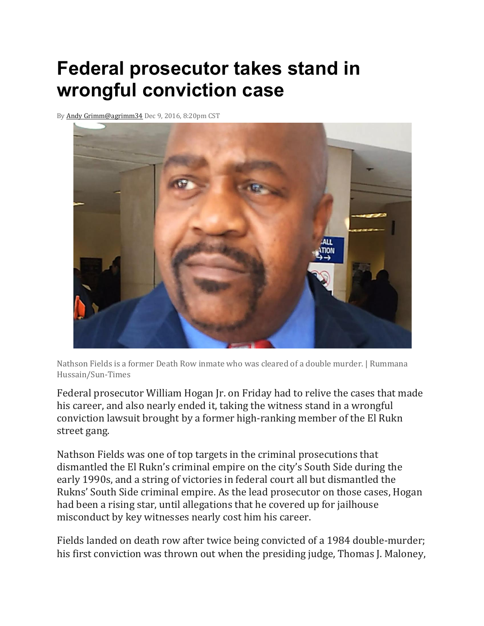## **Federal prosecutor takes stand in wrongful conviction case**

B[y Andy Grimm](https://chicago.suntimes.com/authors/andy-grimm)[@agrimm34](https://www.twitter.com/agrimm34) Dec 9, 2016, 8:20pm CST



Nathson Fields is a former Death Row inmate who was cleared of a double murder. | Rummana Hussain/Sun-Times

Federal prosecutor William Hogan Jr. on Friday had to relive the cases that made his career, and also nearly ended it, taking the witness stand in a wrongful conviction lawsuit brought by a former high-ranking member of the El Rukn street gang.

Nathson Fields was one of top targets in the criminal prosecutions that dismantled the El Rukn's criminal empire on the city's South Side during the early 1990s, and a string of victories in federal court all but dismantled the Rukns' South Side criminal empire. As the lead prosecutor on those cases, Hogan had been a rising star, until allegations that he covered up for jailhouse misconduct by key witnesses nearly cost him his career.

Fields landed on death row after twice being convicted of a 1984 double-murder; his first conviction was thrown out when the presiding judge, Thomas J. Maloney,